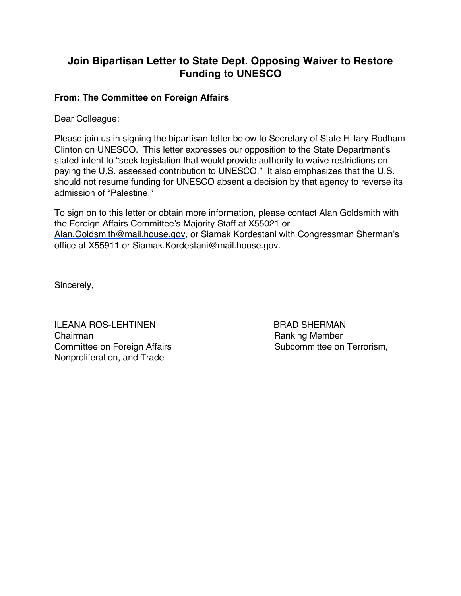## **Join Bipartisan Letter to State Dept. Opposing Waiver to Restore Funding to UNESCO**

## **From: The Committee on Foreign Affairs**

Dear Colleague:

Please join us in signing the bipartisan letter below to Secretary of State Hillary Rodham Clinton on UNESCO. This letter expresses our opposition to the State Department's stated intent to "seek legislation that would provide authority to waive restrictions on paying the U.S. assessed contribution to UNESCO." It also emphasizes that the U.S. should not resume funding for UNESCO absent a decision by that agency to reverse its admission of "Palestine."

To sign on to this letter or obtain more information, please contact Alan Goldsmith with the Foreign Affairs Committee's Majority Staff at X55021 or Alan.Goldsmith@mail.house.gov, or Siamak Kordestani with Congressman Sherman's office at X55911 or Siamak.Kordestani@mail.house.gov.

Sincerely,

ILEANA ROS-LEHTINEN BRAD SHERMAN Chairman **Chairman** Chairman Ranking Member Committee on Foreign Affairs Subcommittee on Terrorism, Nonproliferation, and Trade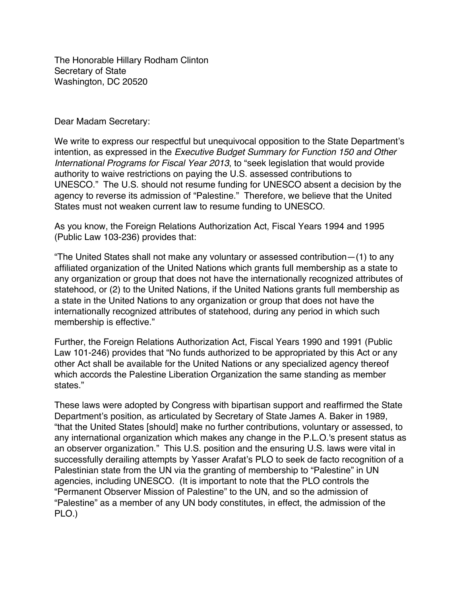The Honorable Hillary Rodham Clinton Secretary of State Washington, DC 20520

Dear Madam Secretary:

We write to express our respectful but unequivocal opposition to the State Department's intention, as expressed in the *Executive Budget Summary for Function 150 and Other International Programs for Fiscal Year 2013*, to "seek legislation that would provide authority to waive restrictions on paying the U.S. assessed contributions to UNESCO." The U.S. should not resume funding for UNESCO absent a decision by the agency to reverse its admission of "Palestine." Therefore, we believe that the United States must not weaken current law to resume funding to UNESCO.

As you know, the Foreign Relations Authorization Act, Fiscal Years 1994 and 1995 (Public Law 103-236) provides that:

"The United States shall not make any voluntary or assessed contribution—(1) to any affiliated organization of the United Nations which grants full membership as a state to any organization or group that does not have the internationally recognized attributes of statehood, or (2) to the United Nations, if the United Nations grants full membership as a state in the United Nations to any organization or group that does not have the internationally recognized attributes of statehood, during any period in which such membership is effective."

Further, the Foreign Relations Authorization Act, Fiscal Years 1990 and 1991 (Public Law 101-246) provides that "No funds authorized to be appropriated by this Act or any other Act shall be available for the United Nations or any specialized agency thereof which accords the Palestine Liberation Organization the same standing as member states."

These laws were adopted by Congress with bipartisan support and reaffirmed the State Department's position, as articulated by Secretary of State James A. Baker in 1989, "that the United States [should] make no further contributions, voluntary or assessed, to any international organization which makes any change in the P.L.O.'s present status as an observer organization." This U.S. position and the ensuring U.S. laws were vital in successfully derailing attempts by Yasser Arafat's PLO to seek de facto recognition of a Palestinian state from the UN via the granting of membership to "Palestine" in UN agencies, including UNESCO. (It is important to note that the PLO controls the "Permanent Observer Mission of Palestine" to the UN, and so the admission of "Palestine" as a member of any UN body constitutes, in effect, the admission of the PLO.)